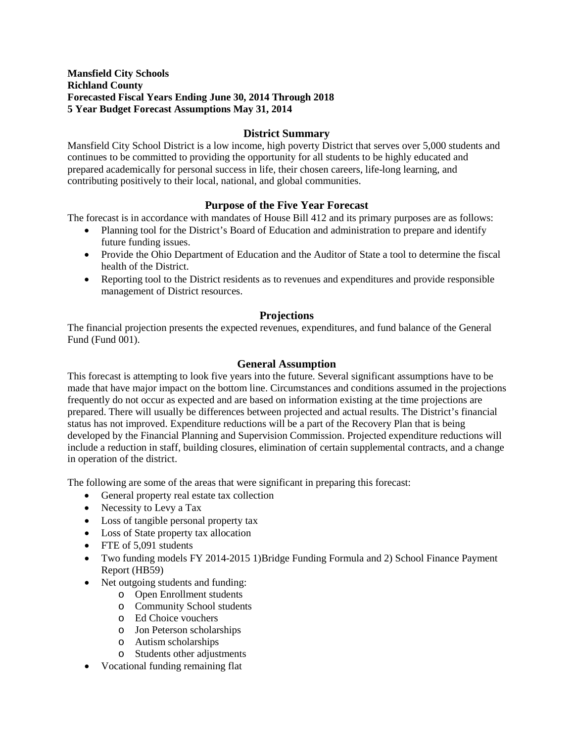## **District Summary**

Mansfield City School District is a low income, high poverty District that serves over 5,000 students and continues to be committed to providing the opportunity for all students to be highly educated and prepared academically for personal success in life, their chosen careers, life-long learning, and contributing positively to their local, national, and global communities.

## **Purpose of the Five Year Forecast**

The forecast is in accordance with mandates of House Bill 412 and its primary purposes are as follows:

- Planning tool for the District's Board of Education and administration to prepare and identify future funding issues.
- Provide the Ohio Department of Education and the Auditor of State a tool to determine the fiscal health of the District.
- Reporting tool to the District residents as to revenues and expenditures and provide responsible management of District resources.

## **Projections**

The financial projection presents the expected revenues, expenditures, and fund balance of the General Fund (Fund 001).

## **General Assumption**

This forecast is attempting to look five years into the future. Several significant assumptions have to be made that have major impact on the bottom line. Circumstances and conditions assumed in the projections frequently do not occur as expected and are based on information existing at the time projections are prepared. There will usually be differences between projected and actual results. The District's financial status has not improved. Expenditure reductions will be a part of the Recovery Plan that is being developed by the Financial Planning and Supervision Commission. Projected expenditure reductions will include a reduction in staff, building closures, elimination of certain supplemental contracts, and a change in operation of the district.

The following are some of the areas that were significant in preparing this forecast:

- General property real estate tax collection
- Necessity to Levy a Tax
- Loss of tangible personal property tax
- Loss of State property tax allocation
- FTE of 5,091 students
- Two funding models FY 2014-2015 1)Bridge Funding Formula and 2) School Finance Payment Report (HB59)
- Net outgoing students and funding:
	- o Open Enrollment students
	- o Community School students
	- o Ed Choice vouchers
	- o Jon Peterson scholarships
	- o Autism scholarships
	- o Students other adjustments
- Vocational funding remaining flat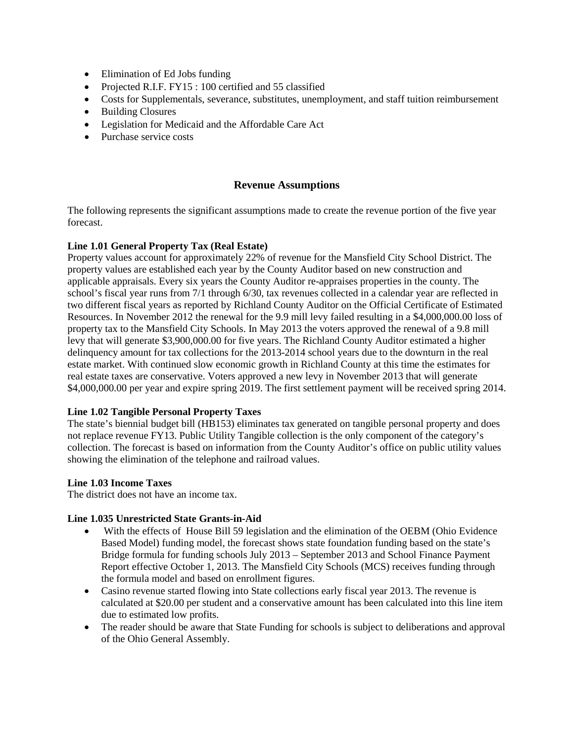- Elimination of Ed Jobs funding
- Projected R.I.F. FY15 : 100 certified and 55 classified
- Costs for Supplementals, severance, substitutes, unemployment, and staff tuition reimbursement
- Building Closures
- Legislation for Medicaid and the Affordable Care Act
- Purchase service costs

## **Revenue Assumptions**

The following represents the significant assumptions made to create the revenue portion of the five year forecast.

#### **Line 1.01 General Property Tax (Real Estate)**

Property values account for approximately 22% of revenue for the Mansfield City School District. The property values are established each year by the County Auditor based on new construction and applicable appraisals. Every six years the County Auditor re-appraises properties in the county. The school's fiscal year runs from 7/1 through 6/30, tax revenues collected in a calendar year are reflected in two different fiscal years as reported by Richland County Auditor on the Official Certificate of Estimated Resources. In November 2012 the renewal for the 9.9 mill levy failed resulting in a \$4,000,000.00 loss of property tax to the Mansfield City Schools. In May 2013 the voters approved the renewal of a 9.8 mill levy that will generate \$3,900,000.00 for five years. The Richland County Auditor estimated a higher delinquency amount for tax collections for the 2013-2014 school years due to the downturn in the real estate market. With continued slow economic growth in Richland County at this time the estimates for real estate taxes are conservative. Voters approved a new levy in November 2013 that will generate \$4,000,000.00 per year and expire spring 2019. The first settlement payment will be received spring 2014.

## **Line 1.02 Tangible Personal Property Taxes**

The state's biennial budget bill (HB153) eliminates tax generated on tangible personal property and does not replace revenue FY13. Public Utility Tangible collection is the only component of the category's collection. The forecast is based on information from the County Auditor's office on public utility values showing the elimination of the telephone and railroad values.

#### **Line 1.03 Income Taxes**

The district does not have an income tax.

## **Line 1.035 Unrestricted State Grants-in-Aid**

- With the effects of House Bill 59 legislation and the elimination of the OEBM (Ohio Evidence Based Model) funding model, the forecast shows state foundation funding based on the state's Bridge formula for funding schools July 2013 – September 2013 and School Finance Payment Report effective October 1, 2013. The Mansfield City Schools (MCS) receives funding through the formula model and based on enrollment figures.
- Casino revenue started flowing into State collections early fiscal year 2013. The revenue is calculated at \$20.00 per student and a conservative amount has been calculated into this line item due to estimated low profits.
- The reader should be aware that State Funding for schools is subject to deliberations and approval of the Ohio General Assembly.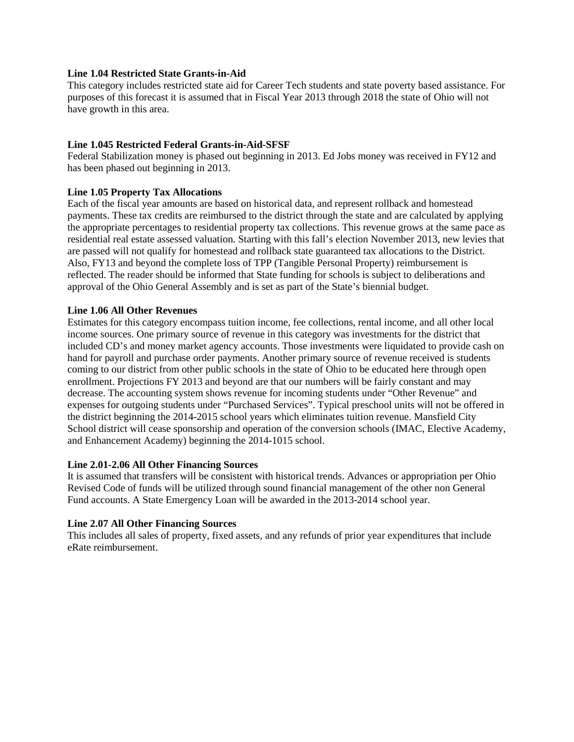## **Line 1.04 Restricted State Grants-in-Aid**

This category includes restricted state aid for Career Tech students and state poverty based assistance. For purposes of this forecast it is assumed that in Fiscal Year 2013 through 2018 the state of Ohio will not have growth in this area.

## **Line 1.045 Restricted Federal Grants-in-Aid-SFSF**

Federal Stabilization money is phased out beginning in 2013. Ed Jobs money was received in FY12 and has been phased out beginning in 2013.

## **Line 1.05 Property Tax Allocations**

Each of the fiscal year amounts are based on historical data, and represent rollback and homestead payments. These tax credits are reimbursed to the district through the state and are calculated by applying the appropriate percentages to residential property tax collections. This revenue grows at the same pace as residential real estate assessed valuation. Starting with this fall's election November 2013, new levies that are passed will not qualify for homestead and rollback state guaranteed tax allocations to the District. Also, FY13 and beyond the complete loss of TPP (Tangible Personal Property) reimbursement is reflected. The reader should be informed that State funding for schools is subject to deliberations and approval of the Ohio General Assembly and is set as part of the State's biennial budget.

## **Line 1.06 All Other Revenues**

Estimates for this category encompass tuition income, fee collections, rental income, and all other local income sources. One primary source of revenue in this category was investments for the district that included CD's and money market agency accounts. Those investments were liquidated to provide cash on hand for payroll and purchase order payments. Another primary source of revenue received is students coming to our district from other public schools in the state of Ohio to be educated here through open enrollment. Projections FY 2013 and beyond are that our numbers will be fairly constant and may decrease. The accounting system shows revenue for incoming students under "Other Revenue" and expenses for outgoing students under "Purchased Services". Typical preschool units will not be offered in the district beginning the 2014-2015 school years which eliminates tuition revenue. Mansfield City School district will cease sponsorship and operation of the conversion schools (IMAC, Elective Academy, and Enhancement Academy) beginning the 2014-1015 school.

## **Line 2.01-2.06 All Other Financing Sources**

It is assumed that transfers will be consistent with historical trends. Advances or appropriation per Ohio Revised Code of funds will be utilized through sound financial management of the other non General Fund accounts. A State Emergency Loan will be awarded in the 2013-2014 school year.

## **Line 2.07 All Other Financing Sources**

This includes all sales of property, fixed assets, and any refunds of prior year expenditures that include eRate reimbursement.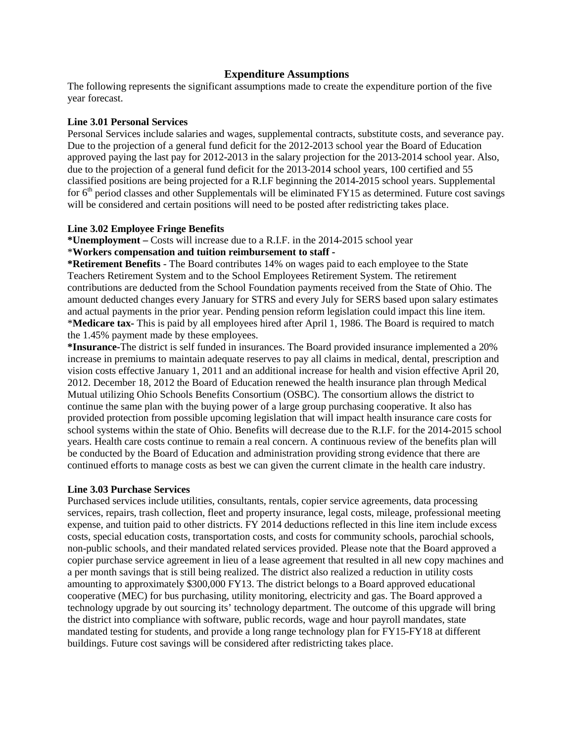#### **Expenditure Assumptions**

The following represents the significant assumptions made to create the expenditure portion of the five year forecast.

#### **Line 3.01 Personal Services**

Personal Services include salaries and wages, supplemental contracts, substitute costs, and severance pay. Due to the projection of a general fund deficit for the 2012-2013 school year the Board of Education approved paying the last pay for 2012-2013 in the salary projection for the 2013-2014 school year. Also, due to the projection of a general fund deficit for the 2013-2014 school years, 100 certified and 55 classified positions are being projected for a R.I.F beginning the 2014-2015 school years. Supplemental for  $6<sup>th</sup>$  period classes and other Supplementals will be eliminated FY15 as determined. Future cost savings will be considered and certain positions will need to be posted after redistricting takes place.

#### **Line 3.02 Employee Fringe Benefits**

**\*Unemployment –** Costs will increase due to a R.I.F. in the 2014-2015 school year \***Workers compensation and tuition reimbursement to staff -**

**\*Retirement Benefits** - The Board contributes 14% on wages paid to each employee to the State Teachers Retirement System and to the School Employees Retirement System. The retirement contributions are deducted from the School Foundation payments received from the State of Ohio. The amount deducted changes every January for STRS and every July for SERS based upon salary estimates and actual payments in the prior year. Pending pension reform legislation could impact this line item. \***Medicare tax-** This is paid by all employees hired after April 1, 1986. The Board is required to match the 1.45% payment made by these employees.

**\*Insurance-**The district is self funded in insurances. The Board provided insurance implemented a 20% increase in premiums to maintain adequate reserves to pay all claims in medical, dental, prescription and vision costs effective January 1, 2011 and an additional increase for health and vision effective April 20, 2012. December 18, 2012 the Board of Education renewed the health insurance plan through Medical Mutual utilizing Ohio Schools Benefits Consortium (OSBC). The consortium allows the district to continue the same plan with the buying power of a large group purchasing cooperative. It also has provided protection from possible upcoming legislation that will impact health insurance care costs for school systems within the state of Ohio. Benefits will decrease due to the R.I.F. for the 2014-2015 school years. Health care costs continue to remain a real concern. A continuous review of the benefits plan will be conducted by the Board of Education and administration providing strong evidence that there are continued efforts to manage costs as best we can given the current climate in the health care industry.

## **Line 3.03 Purchase Services**

Purchased services include utilities, consultants, rentals, copier service agreements, data processing services, repairs, trash collection, fleet and property insurance, legal costs, mileage, professional meeting expense, and tuition paid to other districts. FY 2014 deductions reflected in this line item include excess costs, special education costs, transportation costs, and costs for community schools, parochial schools, non-public schools, and their mandated related services provided. Please note that the Board approved a copier purchase service agreement in lieu of a lease agreement that resulted in all new copy machines and a per month savings that is still being realized. The district also realized a reduction in utility costs amounting to approximately \$300,000 FY13. The district belongs to a Board approved educational cooperative (MEC) for bus purchasing, utility monitoring, electricity and gas. The Board approved a technology upgrade by out sourcing its' technology department. The outcome of this upgrade will bring the district into compliance with software, public records, wage and hour payroll mandates, state mandated testing for students, and provide a long range technology plan for FY15-FY18 at different buildings. Future cost savings will be considered after redistricting takes place.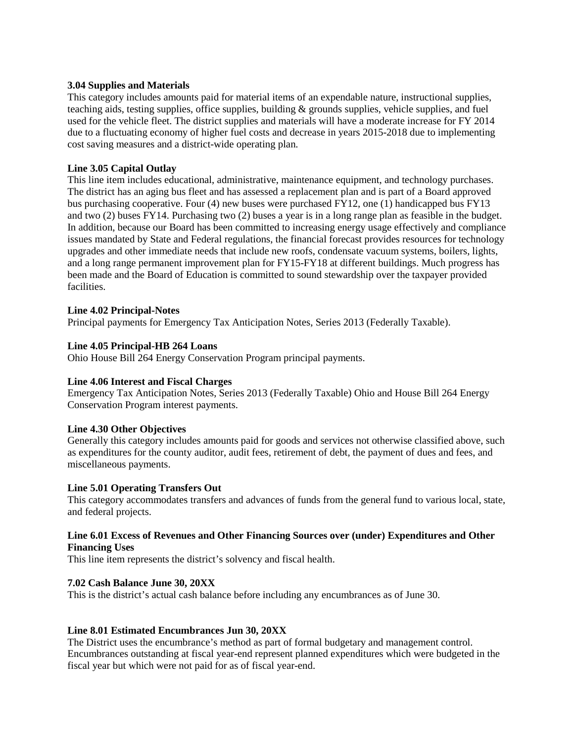### **3.04 Supplies and Materials**

This category includes amounts paid for material items of an expendable nature, instructional supplies, teaching aids, testing supplies, office supplies, building & grounds supplies, vehicle supplies, and fuel used for the vehicle fleet. The district supplies and materials will have a moderate increase for FY 2014 due to a fluctuating economy of higher fuel costs and decrease in years 2015-2018 due to implementing cost saving measures and a district-wide operating plan.

## **Line 3.05 Capital Outlay**

This line item includes educational, administrative, maintenance equipment, and technology purchases. The district has an aging bus fleet and has assessed a replacement plan and is part of a Board approved bus purchasing cooperative. Four (4) new buses were purchased FY12, one (1) handicapped bus FY13 and two (2) buses FY14. Purchasing two (2) buses a year is in a long range plan as feasible in the budget. In addition, because our Board has been committed to increasing energy usage effectively and compliance issues mandated by State and Federal regulations, the financial forecast provides resources for technology upgrades and other immediate needs that include new roofs, condensate vacuum systems, boilers, lights, and a long range permanent improvement plan for FY15-FY18 at different buildings. Much progress has been made and the Board of Education is committed to sound stewardship over the taxpayer provided facilities.

## **Line 4.02 Principal-Notes**

Principal payments for Emergency Tax Anticipation Notes, Series 2013 (Federally Taxable).

## **Line 4.05 Principal-HB 264 Loans**

Ohio House Bill 264 Energy Conservation Program principal payments.

## **Line 4.06 Interest and Fiscal Charges**

Emergency Tax Anticipation Notes, Series 2013 (Federally Taxable) Ohio and House Bill 264 Energy Conservation Program interest payments.

## **Line 4.30 Other Objectives**

Generally this category includes amounts paid for goods and services not otherwise classified above, such as expenditures for the county auditor, audit fees, retirement of debt, the payment of dues and fees, and miscellaneous payments.

## **Line 5.01 Operating Transfers Out**

This category accommodates transfers and advances of funds from the general fund to various local, state, and federal projects.

## **Line 6.01 Excess of Revenues and Other Financing Sources over (under) Expenditures and Other Financing Uses**

This line item represents the district's solvency and fiscal health.

## **7.02 Cash Balance June 30, 20XX**

This is the district's actual cash balance before including any encumbrances as of June 30.

## **Line 8.01 Estimated Encumbrances Jun 30, 20XX**

The District uses the encumbrance's method as part of formal budgetary and management control. Encumbrances outstanding at fiscal year-end represent planned expenditures which were budgeted in the fiscal year but which were not paid for as of fiscal year-end.